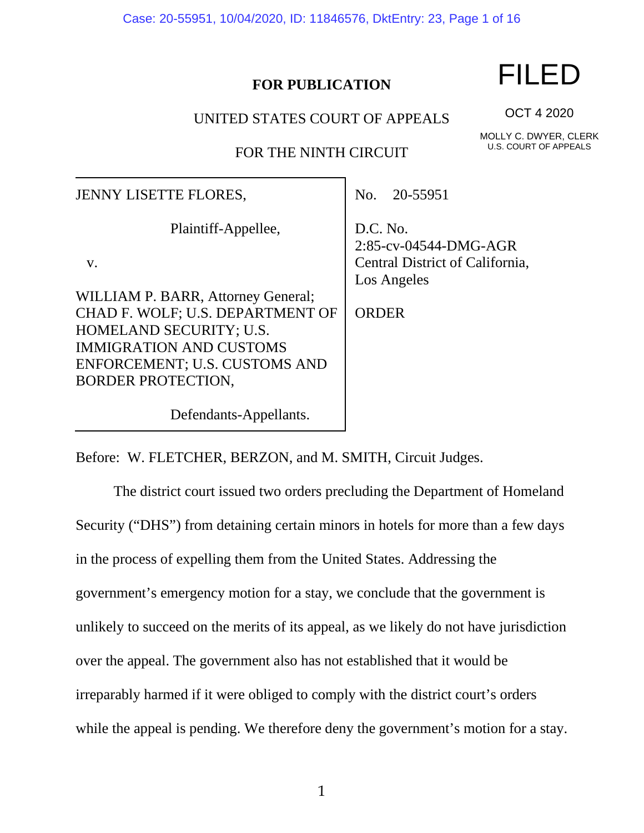Case: 20-55951, 10/04/2020, ID: 11846576, DktEntry: 23, Page 1 of 16

# **FOR PUBLICATION**

# FILED

UNITED STATES COURT OF APPEALS

FOR THE NINTH CIRCUIT

| MOLLY C. DWYER, CLERK |
|-----------------------|
| U.S. COURT OF APPEALS |

OCT 4 2020

| <b>JENNY LISETTE FLORES,</b>                                                                                                                                                                      | 20-55951<br>No.                                                                     |
|---------------------------------------------------------------------------------------------------------------------------------------------------------------------------------------------------|-------------------------------------------------------------------------------------|
| Plaintiff-Appellee,<br>$V_{\star}$                                                                                                                                                                | D.C. No.<br>2:85-cv-04544-DMG-AGR<br>Central District of California,<br>Los Angeles |
| WILLIAM P. BARR, Attorney General;<br>CHAD F. WOLF; U.S. DEPARTMENT OF<br>HOMELAND SECURITY; U.S.<br><b>IMMIGRATION AND CUSTOMS</b><br>ENFORCEMENT; U.S. CUSTOMS AND<br><b>BORDER PROTECTION,</b> | <b>ORDER</b>                                                                        |

Before: W. FLETCHER, BERZON, and M. SMITH, Circuit Judges.

Defendants-Appellants.

The district court issued two orders precluding the Department of Homeland Security ("DHS") from detaining certain minors in hotels for more than a few days in the process of expelling them from the United States. Addressing the government's emergency motion for a stay, we conclude that the government is unlikely to succeed on the merits of its appeal, as we likely do not have jurisdiction over the appeal. The government also has not established that it would be irreparably harmed if it were obliged to comply with the district court's orders while the appeal is pending. We therefore deny the government's motion for a stay.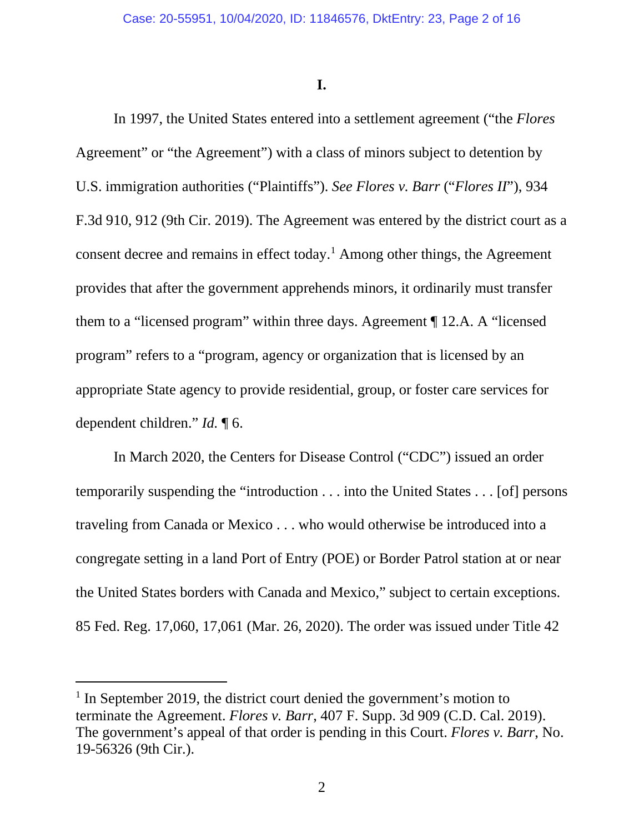**I.**

In 1997, the United States entered into a settlement agreement ("the *Flores* Agreement" or "the Agreement") with a class of minors subject to detention by U.S. immigration authorities ("Plaintiffs"). *See Flores v. Barr* ("*Flores II*"), 934 F.3d 910, 912 (9th Cir. 2019). The Agreement was entered by the district court as a consent decree and remains in effect today.[1](#page-1-0) Among other things, the Agreement provides that after the government apprehends minors, it ordinarily must transfer them to a "licensed program" within three days. Agreement ¶ 12.A. A "licensed program" refers to a "program, agency or organization that is licensed by an appropriate State agency to provide residential, group, or foster care services for dependent children." *Id.* ¶ 6.

In March 2020, the Centers for Disease Control ("CDC") issued an order temporarily suspending the "introduction . . . into the United States . . . [of] persons traveling from Canada or Mexico . . . who would otherwise be introduced into a congregate setting in a land Port of Entry (POE) or Border Patrol station at or near the United States borders with Canada and Mexico," subject to certain exceptions. 85 Fed. Reg. 17,060, 17,061 (Mar. 26, 2020). The order was issued under Title 42

<span id="page-1-0"></span><sup>&</sup>lt;sup>1</sup> In September 2019, the district court denied the government's motion to terminate the Agreement. *Flores v. Barr*, 407 F. Supp. 3d 909 (C.D. Cal. 2019). The government's appeal of that order is pending in this Court. *Flores v. Barr*, No. 19-56326 (9th Cir.).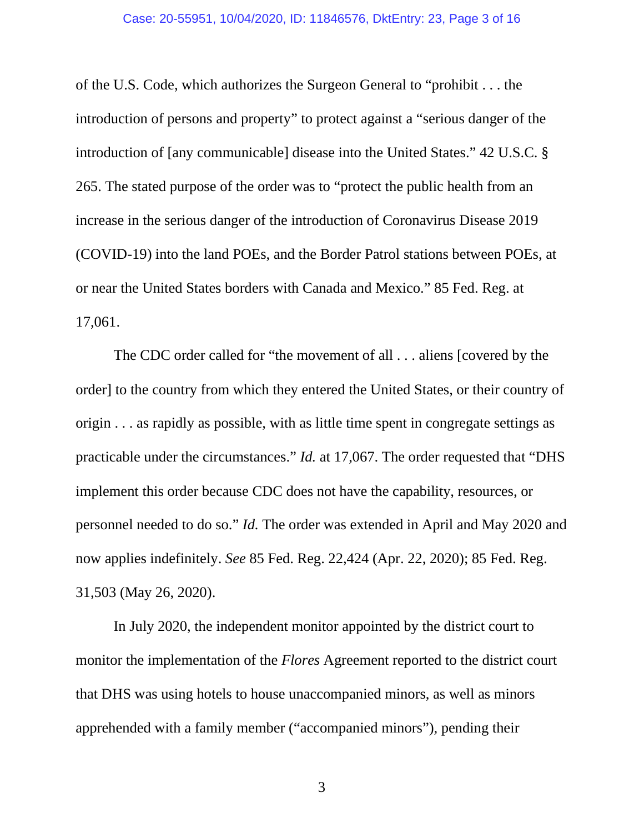of the U.S. Code, which authorizes the Surgeon General to "prohibit . . . the introduction of persons and property" to protect against a "serious danger of the introduction of [any communicable] disease into the United States." 42 U.S.C. § 265. The stated purpose of the order was to "protect the public health from an increase in the serious danger of the introduction of Coronavirus Disease 2019 (COVID-19) into the land POEs, and the Border Patrol stations between POEs, at or near the United States borders with Canada and Mexico." 85 Fed. Reg. at 17,061.

The CDC order called for "the movement of all . . . aliens [covered by the order] to the country from which they entered the United States, or their country of origin . . . as rapidly as possible, with as little time spent in congregate settings as practicable under the circumstances." *Id.* at 17,067. The order requested that "DHS implement this order because CDC does not have the capability, resources, or personnel needed to do so." *Id.* The order was extended in April and May 2020 and now applies indefinitely. *See* 85 Fed. Reg. 22,424 (Apr. 22, 2020); 85 Fed. Reg. 31,503 (May 26, 2020).

In July 2020, the independent monitor appointed by the district court to monitor the implementation of the *Flores* Agreement reported to the district court that DHS was using hotels to house unaccompanied minors, as well as minors apprehended with a family member ("accompanied minors"), pending their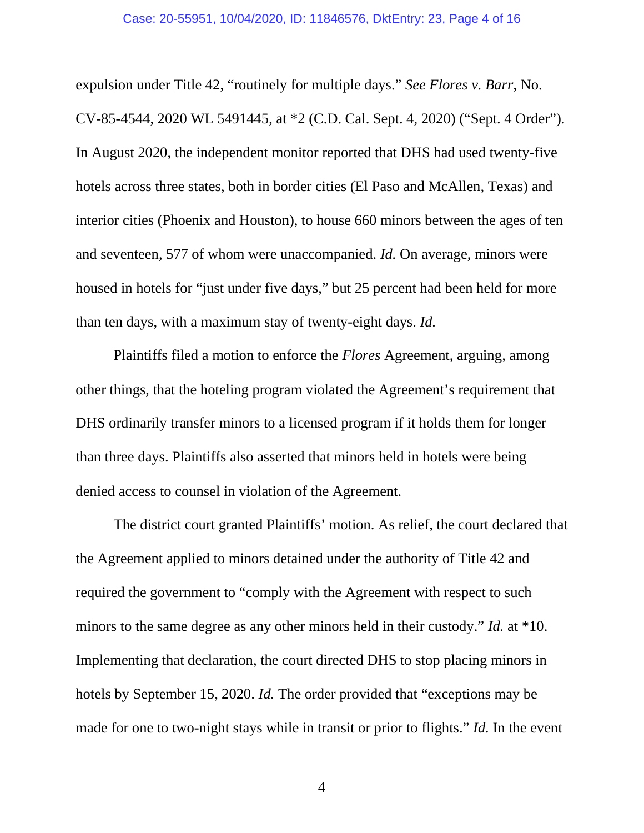expulsion under Title 42, "routinely for multiple days." *See Flores v. Barr*, No. CV-85-4544, 2020 WL 5491445, at \*2 (C.D. Cal. Sept. 4, 2020) ("Sept. 4 Order"). In August 2020, the independent monitor reported that DHS had used twenty-five hotels across three states, both in border cities (El Paso and McAllen, Texas) and interior cities (Phoenix and Houston), to house 660 minors between the ages of ten and seventeen, 577 of whom were unaccompanied. *Id.* On average, minors were housed in hotels for "just under five days," but 25 percent had been held for more than ten days, with a maximum stay of twenty-eight days. *Id.*

Plaintiffs filed a motion to enforce the *Flores* Agreement, arguing, among other things, that the hoteling program violated the Agreement's requirement that DHS ordinarily transfer minors to a licensed program if it holds them for longer than three days. Plaintiffs also asserted that minors held in hotels were being denied access to counsel in violation of the Agreement.

The district court granted Plaintiffs' motion. As relief, the court declared that the Agreement applied to minors detained under the authority of Title 42 and required the government to "comply with the Agreement with respect to such minors to the same degree as any other minors held in their custody." *Id.* at \*10. Implementing that declaration, the court directed DHS to stop placing minors in hotels by September 15, 2020. *Id.* The order provided that "exceptions may be made for one to two-night stays while in transit or prior to flights." *Id.* In the event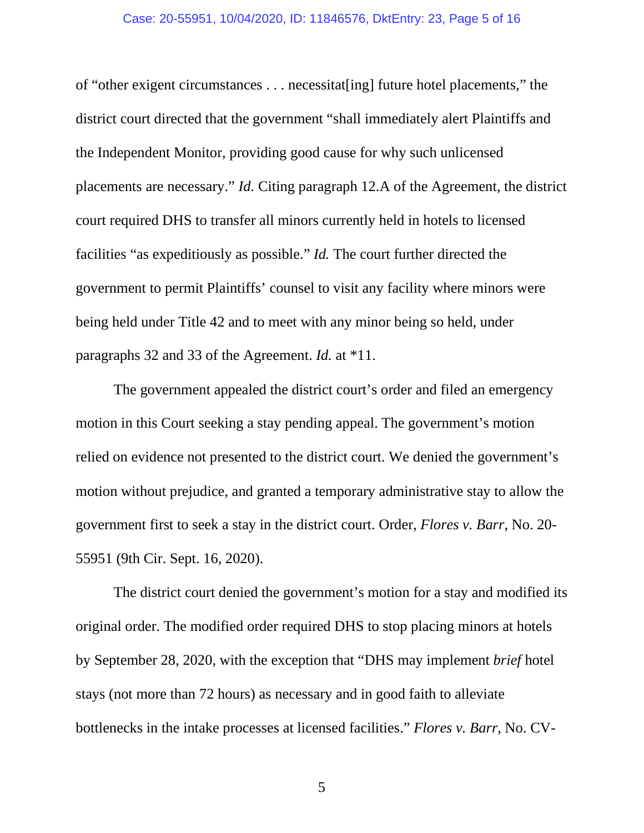### Case: 20-55951, 10/04/2020, ID: 11846576, DktEntry: 23, Page 5 of 16

of "other exigent circumstances . . . necessitat[ing] future hotel placements," the district court directed that the government "shall immediately alert Plaintiffs and the Independent Monitor, providing good cause for why such unlicensed placements are necessary." *Id.* Citing paragraph 12.A of the Agreement, the district court required DHS to transfer all minors currently held in hotels to licensed facilities "as expeditiously as possible." *Id.* The court further directed the government to permit Plaintiffs' counsel to visit any facility where minors were being held under Title 42 and to meet with any minor being so held, under paragraphs 32 and 33 of the Agreement. *Id.* at \*11.

The government appealed the district court's order and filed an emergency motion in this Court seeking a stay pending appeal. The government's motion relied on evidence not presented to the district court. We denied the government's motion without prejudice, and granted a temporary administrative stay to allow the government first to seek a stay in the district court. Order, *Flores v. Barr*, No. 20- 55951 (9th Cir. Sept. 16, 2020).

The district court denied the government's motion for a stay and modified its original order. The modified order required DHS to stop placing minors at hotels by September 28, 2020, with the exception that "DHS may implement *brief* hotel stays (not more than 72 hours) as necessary and in good faith to alleviate bottlenecks in the intake processes at licensed facilities." *Flores v. Barr*, No. CV-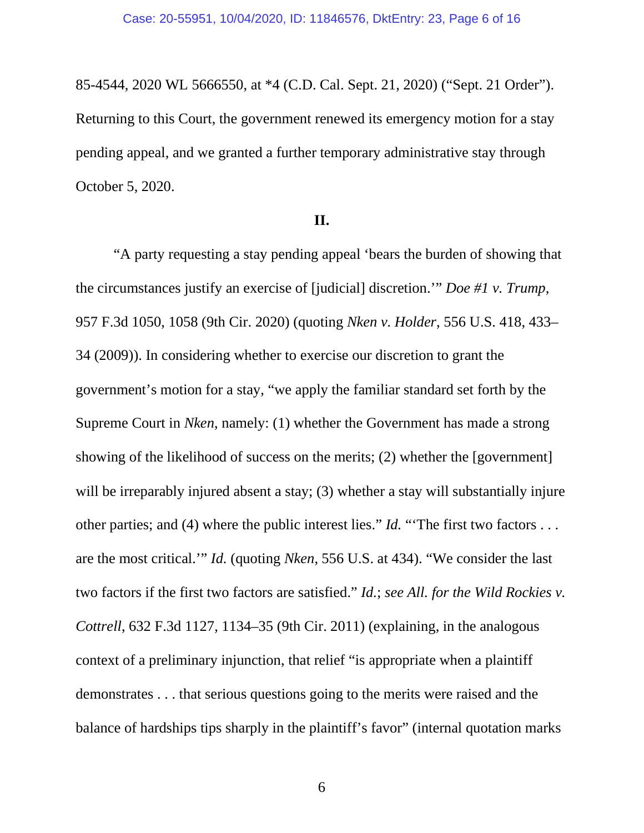85-4544, 2020 WL 5666550, at \*4 (C.D. Cal. Sept. 21, 2020) ("Sept. 21 Order"). Returning to this Court, the government renewed its emergency motion for a stay pending appeal, and we granted a further temporary administrative stay through October 5, 2020.

## **II.**

"A party requesting a stay pending appeal 'bears the burden of showing that the circumstances justify an exercise of [judicial] discretion.'" *Doe #1 v. Trump*, 957 F.3d 1050, 1058 (9th Cir. 2020) (quoting *Nken v. Holder*, 556 U.S. 418, 433– 34 (2009)). In considering whether to exercise our discretion to grant the government's motion for a stay, "we apply the familiar standard set forth by the Supreme Court in *Nken*, namely: (1) whether the Government has made a strong showing of the likelihood of success on the merits; (2) whether the [government] will be irreparably injured absent a stay; (3) whether a stay will substantially injure other parties; and (4) where the public interest lies." *Id.* "The first two factors . . . are the most critical.'" *Id.* (quoting *Nken*, 556 U.S. at 434). "We consider the last two factors if the first two factors are satisfied." *Id.*; *see All. for the Wild Rockies v. Cottrell*, 632 F.3d 1127, 1134–35 (9th Cir. 2011) (explaining, in the analogous context of a preliminary injunction, that relief "is appropriate when a plaintiff demonstrates . . . that serious questions going to the merits were raised and the balance of hardships tips sharply in the plaintiff's favor" (internal quotation marks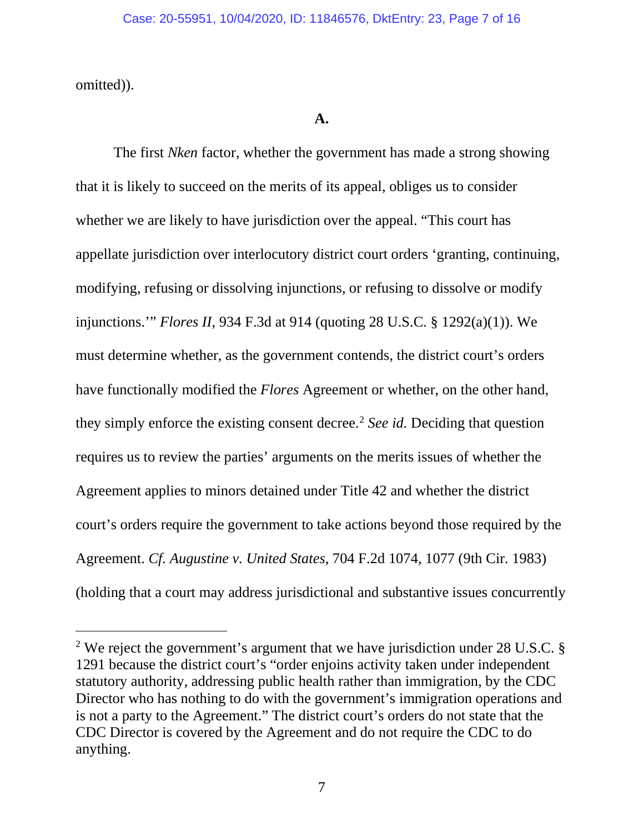omitted)).

# **A.**

The first *Nken* factor, whether the government has made a strong showing that it is likely to succeed on the merits of its appeal, obliges us to consider whether we are likely to have jurisdiction over the appeal. "This court has appellate jurisdiction over interlocutory district court orders 'granting, continuing, modifying, refusing or dissolving injunctions, or refusing to dissolve or modify injunctions.'" *Flores II*, 934 F.3d at 914 (quoting 28 U.S.C. § 1292(a)(1)). We must determine whether, as the government contends, the district court's orders have functionally modified the *Flores* Agreement or whether, on the other hand, they simply enforce the existing consent decree.<sup>[2](#page-6-0)</sup> *See id.* Deciding that question requires us to review the parties' arguments on the merits issues of whether the Agreement applies to minors detained under Title 42 and whether the district court's orders require the government to take actions beyond those required by the Agreement. *Cf. Augustine v. United States*, 704 F.2d 1074, 1077 (9th Cir. 1983) (holding that a court may address jurisdictional and substantive issues concurrently

<span id="page-6-0"></span><sup>&</sup>lt;sup>2</sup> We reject the government's argument that we have jurisdiction under 28 U.S.C. § 1291 because the district court's "order enjoins activity taken under independent statutory authority, addressing public health rather than immigration, by the CDC Director who has nothing to do with the government's immigration operations and is not a party to the Agreement." The district court's orders do not state that the CDC Director is covered by the Agreement and do not require the CDC to do anything.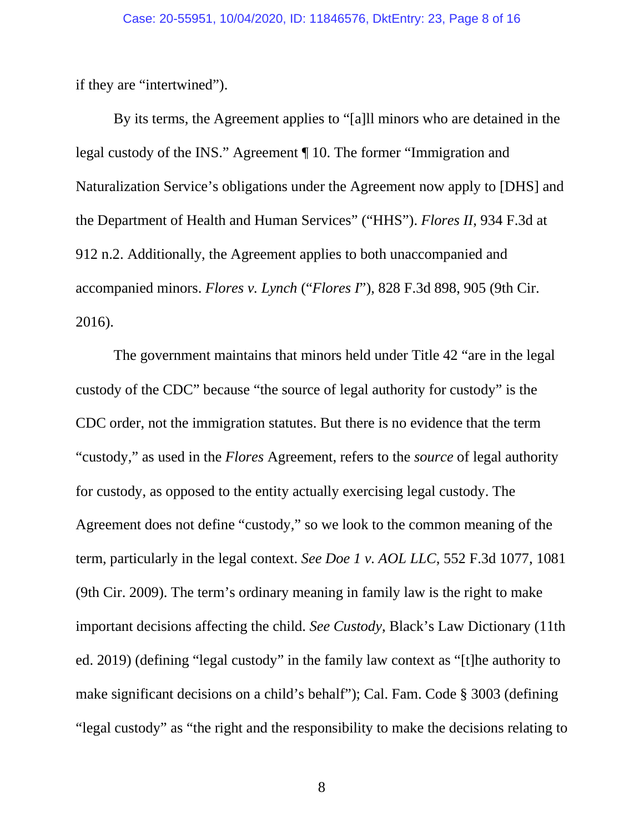if they are "intertwined").

By its terms, the Agreement applies to "[a]ll minors who are detained in the legal custody of the INS." Agreement ¶ 10. The former "Immigration and Naturalization Service's obligations under the Agreement now apply to [DHS] and the Department of Health and Human Services" ("HHS"). *Flores II*, 934 F.3d at 912 n.2. Additionally, the Agreement applies to both unaccompanied and accompanied minors. *Flores v. Lynch* ("*Flores I*"), 828 F.3d 898, 905 (9th Cir. 2016).

The government maintains that minors held under Title 42 "are in the legal custody of the CDC" because "the source of legal authority for custody" is the CDC order, not the immigration statutes. But there is no evidence that the term "custody," as used in the *Flores* Agreement, refers to the *source* of legal authority for custody, as opposed to the entity actually exercising legal custody. The Agreement does not define "custody," so we look to the common meaning of the term, particularly in the legal context. *See Doe 1 v. AOL LLC*, 552 F.3d 1077, 1081 (9th Cir. 2009). The term's ordinary meaning in family law is the right to make important decisions affecting the child. *See Custody*, Black's Law Dictionary (11th ed. 2019) (defining "legal custody" in the family law context as "[t]he authority to make significant decisions on a child's behalf"); Cal. Fam. Code § 3003 (defining "legal custody" as "the right and the responsibility to make the decisions relating to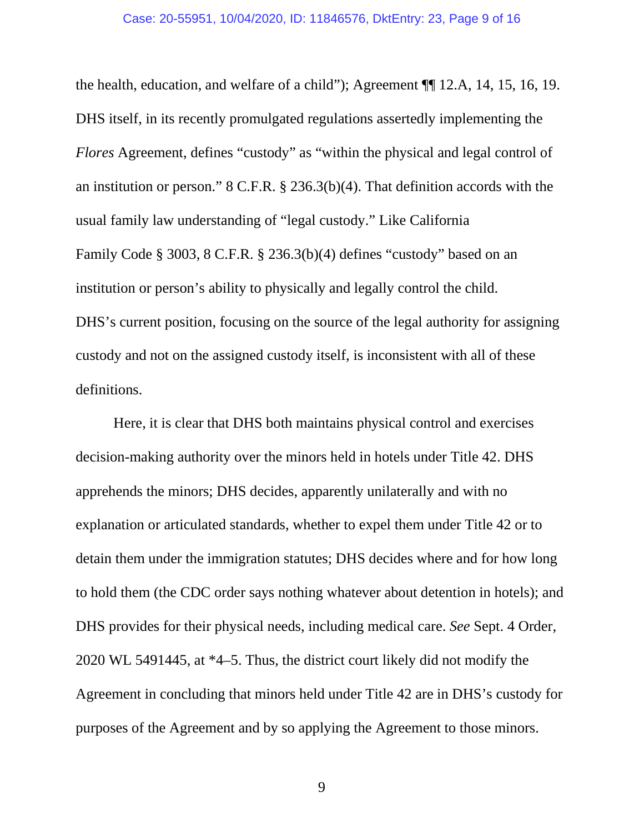the health, education, and welfare of a child"); Agreement ¶¶ 12.A, 14, 15, 16, 19. DHS itself, in its recently promulgated regulations assertedly implementing the *Flores* Agreement, defines "custody" as "within the physical and legal control of an institution or person." 8 C.F.R. § 236.3(b)(4). That definition accords with the usual family law understanding of "legal custody." Like California Family Code § 3003, 8 C.F.R. § 236.3(b)(4) defines "custody" based on an institution or person's ability to physically and legally control the child. DHS's current position, focusing on the source of the legal authority for assigning custody and not on the assigned custody itself, is inconsistent with all of these definitions.

Here, it is clear that DHS both maintains physical control and exercises decision-making authority over the minors held in hotels under Title 42. DHS apprehends the minors; DHS decides, apparently unilaterally and with no explanation or articulated standards, whether to expel them under Title 42 or to detain them under the immigration statutes; DHS decides where and for how long to hold them (the CDC order says nothing whatever about detention in hotels); and DHS provides for their physical needs, including medical care. *See* Sept. 4 Order, 2020 WL 5491445, at \*4–5. Thus, the district court likely did not modify the Agreement in concluding that minors held under Title 42 are in DHS's custody for purposes of the Agreement and by so applying the Agreement to those minors.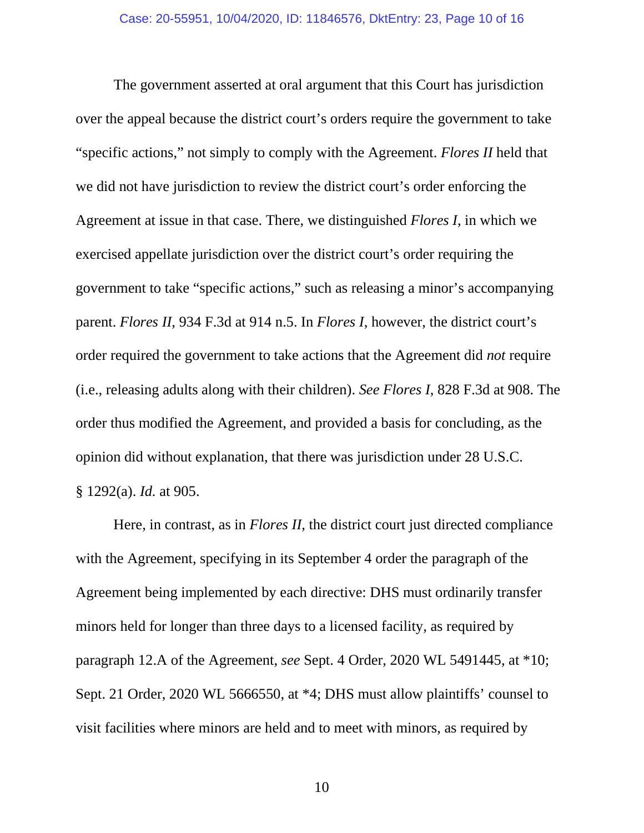The government asserted at oral argument that this Court has jurisdiction over the appeal because the district court's orders require the government to take "specific actions," not simply to comply with the Agreement. *Flores II* held that we did not have jurisdiction to review the district court's order enforcing the Agreement at issue in that case. There, we distinguished *Flores I*, in which we exercised appellate jurisdiction over the district court's order requiring the government to take "specific actions," such as releasing a minor's accompanying parent. *Flores II*, 934 F.3d at 914 n.5. In *Flores I*, however, the district court's order required the government to take actions that the Agreement did *not* require (i.e., releasing adults along with their children). *See Flores I*, 828 F.3d at 908. The order thus modified the Agreement, and provided a basis for concluding, as the opinion did without explanation, that there was jurisdiction under 28 U.S.C. § 1292(a). *Id.* at 905.

Here, in contrast, as in *Flores II*, the district court just directed compliance with the Agreement, specifying in its September 4 order the paragraph of the Agreement being implemented by each directive: DHS must ordinarily transfer minors held for longer than three days to a licensed facility, as required by paragraph 12.A of the Agreement, *see* Sept. 4 Order, 2020 WL 5491445, at \*10; Sept. 21 Order, 2020 WL 5666550, at \*4; DHS must allow plaintiffs' counsel to visit facilities where minors are held and to meet with minors, as required by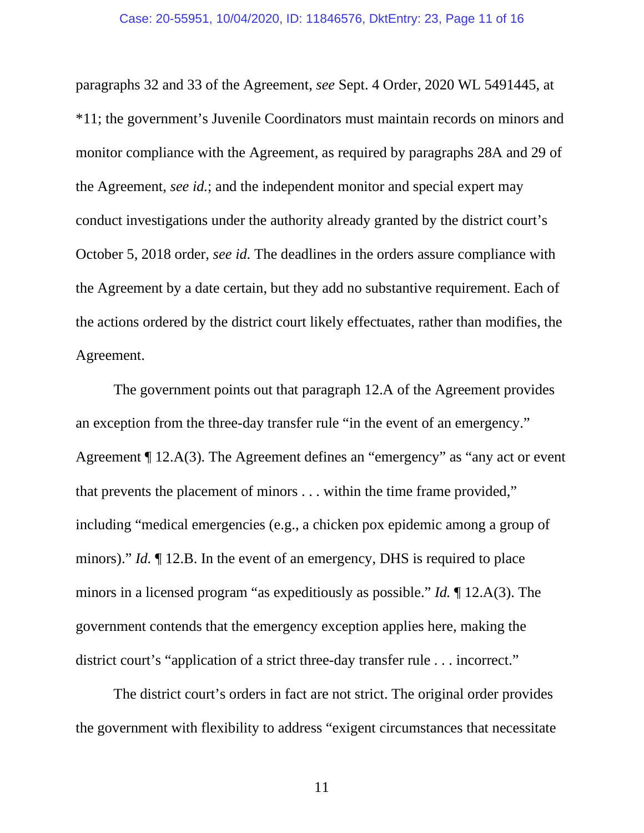paragraphs 32 and 33 of the Agreement, *see* Sept. 4 Order, 2020 WL 5491445, at \*11; the government's Juvenile Coordinators must maintain records on minors and monitor compliance with the Agreement, as required by paragraphs 28A and 29 of the Agreement, *see id.*; and the independent monitor and special expert may conduct investigations under the authority already granted by the district court's October 5, 2018 order, *see id.* The deadlines in the orders assure compliance with the Agreement by a date certain, but they add no substantive requirement. Each of the actions ordered by the district court likely effectuates, rather than modifies, the Agreement.

The government points out that paragraph 12.A of the Agreement provides an exception from the three-day transfer rule "in the event of an emergency." Agreement ¶ 12.A(3). The Agreement defines an "emergency" as "any act or event that prevents the placement of minors . . . within the time frame provided," including "medical emergencies (e.g., a chicken pox epidemic among a group of minors)." *Id.* ¶ 12.B. In the event of an emergency, DHS is required to place minors in a licensed program "as expeditiously as possible." *Id.* ¶ 12.A(3). The government contends that the emergency exception applies here, making the district court's "application of a strict three-day transfer rule . . . incorrect."

The district court's orders in fact are not strict. The original order provides the government with flexibility to address "exigent circumstances that necessitate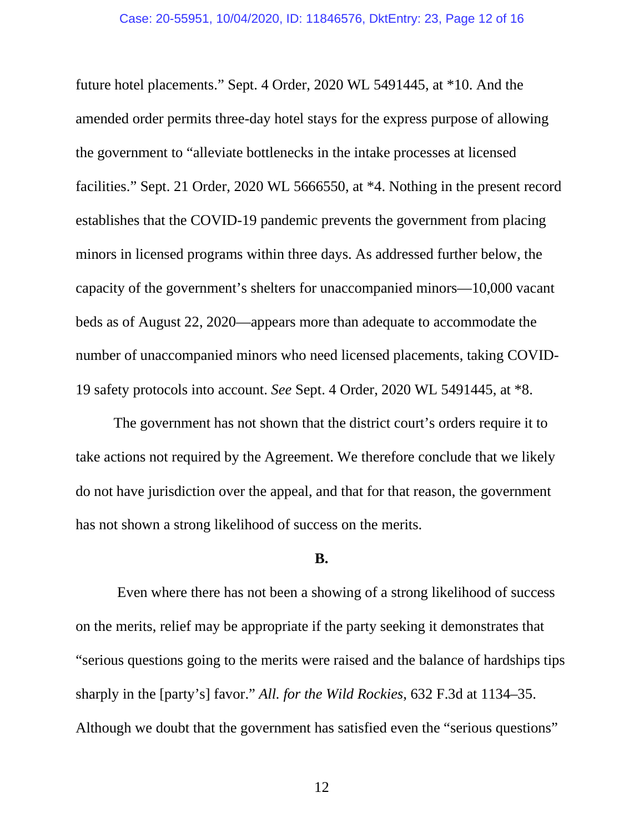future hotel placements." Sept. 4 Order, 2020 WL 5491445, at \*10. And the amended order permits three-day hotel stays for the express purpose of allowing the government to "alleviate bottlenecks in the intake processes at licensed facilities." Sept. 21 Order, 2020 WL 5666550, at \*4. Nothing in the present record establishes that the COVID-19 pandemic prevents the government from placing minors in licensed programs within three days. As addressed further below, the capacity of the government's shelters for unaccompanied minors—10,000 vacant beds as of August 22, 2020—appears more than adequate to accommodate the number of unaccompanied minors who need licensed placements, taking COVID-19 safety protocols into account. *See* Sept. 4 Order, 2020 WL 5491445, at \*8.

The government has not shown that the district court's orders require it to take actions not required by the Agreement. We therefore conclude that we likely do not have jurisdiction over the appeal, and that for that reason, the government has not shown a strong likelihood of success on the merits.

## **B.**

Even where there has not been a showing of a strong likelihood of success on the merits, relief may be appropriate if the party seeking it demonstrates that "serious questions going to the merits were raised and the balance of hardships tips sharply in the [party's] favor." *All. for the Wild Rockies*, 632 F.3d at 1134–35. Although we doubt that the government has satisfied even the "serious questions"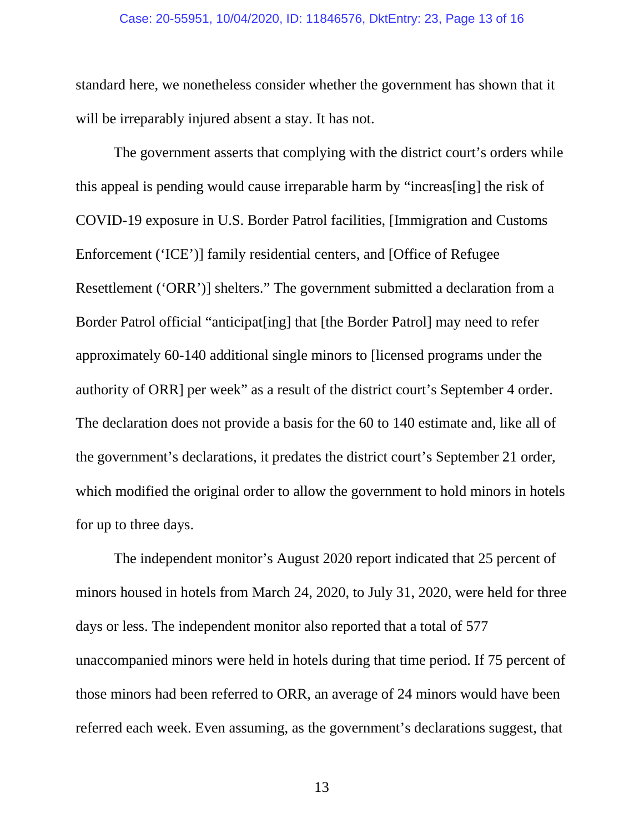### Case: 20-55951, 10/04/2020, ID: 11846576, DktEntry: 23, Page 13 of 16

standard here, we nonetheless consider whether the government has shown that it will be irreparably injured absent a stay. It has not.

The government asserts that complying with the district court's orders while this appeal is pending would cause irreparable harm by "increas[ing] the risk of COVID-19 exposure in U.S. Border Patrol facilities, [Immigration and Customs Enforcement ('ICE')] family residential centers, and [Office of Refugee Resettlement ('ORR')] shelters." The government submitted a declaration from a Border Patrol official "anticipat[ing] that [the Border Patrol] may need to refer approximately 60-140 additional single minors to [licensed programs under the authority of ORR] per week" as a result of the district court's September 4 order. The declaration does not provide a basis for the 60 to 140 estimate and, like all of the government's declarations, it predates the district court's September 21 order, which modified the original order to allow the government to hold minors in hotels for up to three days.

The independent monitor's August 2020 report indicated that 25 percent of minors housed in hotels from March 24, 2020, to July 31, 2020, were held for three days or less. The independent monitor also reported that a total of 577 unaccompanied minors were held in hotels during that time period. If 75 percent of those minors had been referred to ORR, an average of 24 minors would have been referred each week. Even assuming, as the government's declarations suggest, that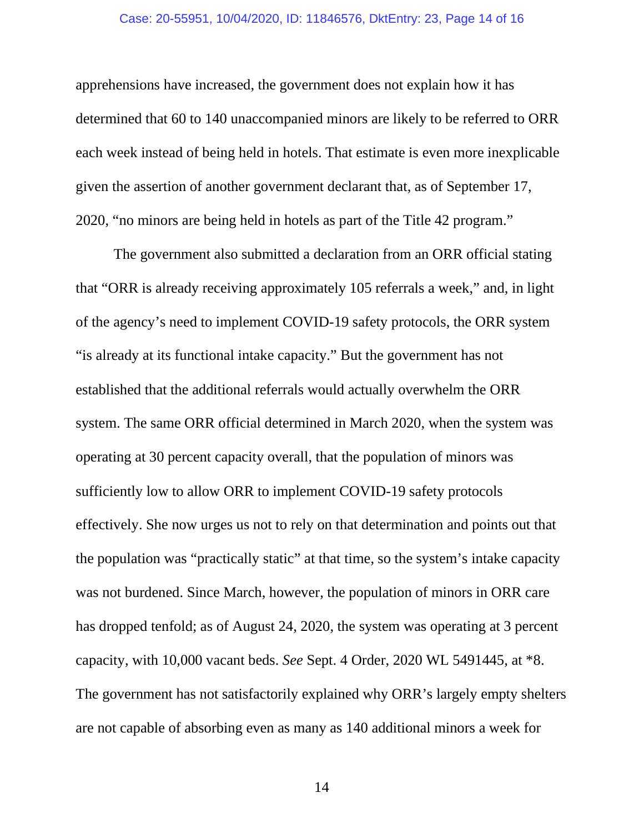## Case: 20-55951, 10/04/2020, ID: 11846576, DktEntry: 23, Page 14 of 16

apprehensions have increased, the government does not explain how it has determined that 60 to 140 unaccompanied minors are likely to be referred to ORR each week instead of being held in hotels. That estimate is even more inexplicable given the assertion of another government declarant that, as of September 17, 2020, "no minors are being held in hotels as part of the Title 42 program."

The government also submitted a declaration from an ORR official stating that "ORR is already receiving approximately 105 referrals a week," and, in light of the agency's need to implement COVID-19 safety protocols, the ORR system "is already at its functional intake capacity." But the government has not established that the additional referrals would actually overwhelm the ORR system. The same ORR official determined in March 2020, when the system was operating at 30 percent capacity overall, that the population of minors was sufficiently low to allow ORR to implement COVID-19 safety protocols effectively. She now urges us not to rely on that determination and points out that the population was "practically static" at that time, so the system's intake capacity was not burdened. Since March, however, the population of minors in ORR care has dropped tenfold; as of August 24, 2020, the system was operating at 3 percent capacity, with 10,000 vacant beds. *See* Sept. 4 Order, 2020 WL 5491445, at \*8. The government has not satisfactorily explained why ORR's largely empty shelters are not capable of absorbing even as many as 140 additional minors a week for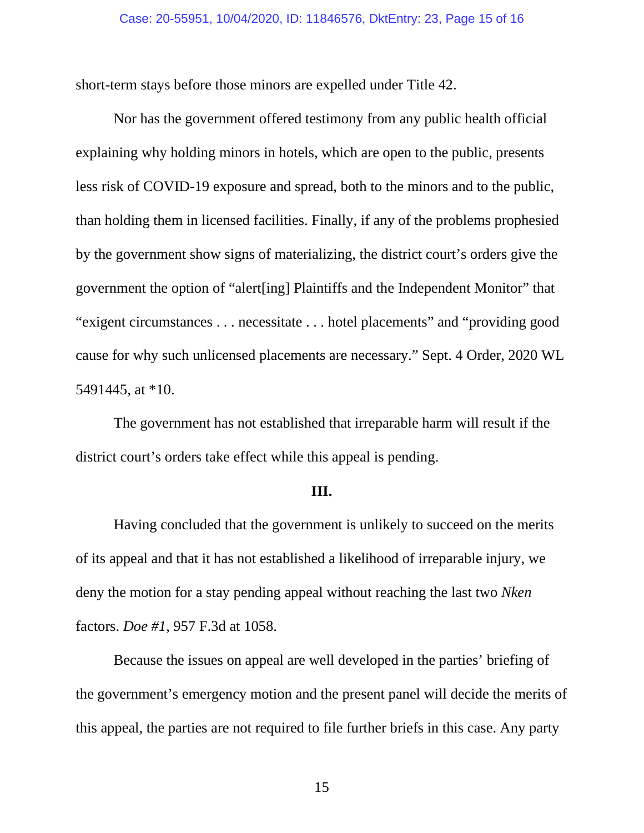short-term stays before those minors are expelled under Title 42.

Nor has the government offered testimony from any public health official explaining why holding minors in hotels, which are open to the public, presents less risk of COVID-19 exposure and spread, both to the minors and to the public, than holding them in licensed facilities. Finally, if any of the problems prophesied by the government show signs of materializing, the district court's orders give the government the option of "alert[ing] Plaintiffs and the Independent Monitor" that "exigent circumstances . . . necessitate . . . hotel placements" and "providing good cause for why such unlicensed placements are necessary." Sept. 4 Order, 2020 WL 5491445, at \*10.

The government has not established that irreparable harm will result if the district court's orders take effect while this appeal is pending.

## **III.**

Having concluded that the government is unlikely to succeed on the merits of its appeal and that it has not established a likelihood of irreparable injury, we deny the motion for a stay pending appeal without reaching the last two *Nken* factors. *Doe #1*, 957 F.3d at 1058.

Because the issues on appeal are well developed in the parties' briefing of the government's emergency motion and the present panel will decide the merits of this appeal, the parties are not required to file further briefs in this case. Any party